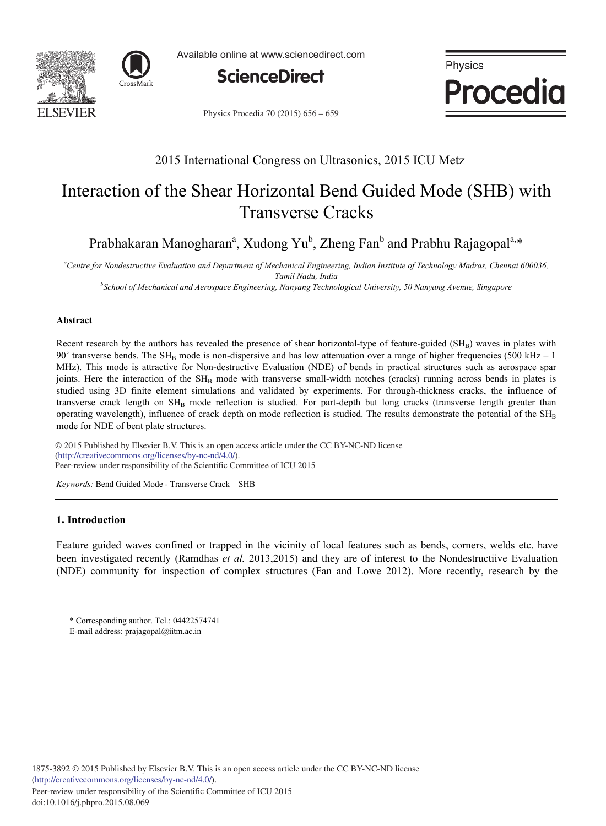



Available online at www.sciencedirect.com



Physics **Procedia** 

Physics Procedia 70 (2015) 656 - 659

# 2015 International Congress on Ultrasonics, 2015 ICU Metz

# Interaction of the Shear Horizontal Bend Guided Mode (SHB) with Transverse Cracks

Prabhakaran Manogharan<sup>a</sup>, Xudong Yu<sup>b</sup>, Zheng Fan<sup>b</sup> and Prabhu Rajagopal<sup>a,\*</sup>

*<sup>a</sup>Centre for Nondestructive Evaluation and Department of Mechanical Engineering, Indian Institute of Technology Madras, Chennai 600036, Tamil Nadu, India* 

*b School of Mechanical and Aerospace Engineering, Nanyang Technological University, 50 Nanyang Avenue, Singapore* 

# **Abstract**

Recent research by the authors has revealed the presence of shear horizontal-type of feature-guided  $(SH_B)$  waves in plates with 90 $\degree$  transverse bends. The SH<sub>B</sub> mode is non-dispersive and has low attenuation over a range of higher frequencies (500 kHz – 1) MHz). This mode is attractive for Non-destructive Evaluation (NDE) of bends in practical structures such as aerospace spar joints. Here the interaction of the SH<sub>B</sub> mode with transverse small-width notches (cracks) running across bends in plates is studied using 3D finite element simulations and validated by experiments. For through-thickness cracks, the influence of transverse crack length on  $SH<sub>B</sub>$  mode reflection is studied. For part-depth but long cracks (transverse length greater than operating wavelength), influence of crack depth on mode reflection is studied. The results demonstrate the potential of the  $SH<sub>B</sub>$ mode for NDE of bent plate structures.

 $\odot$  2015 Published by Elsevier B.V. This is an open access article under the CC BY-NC-ND license networks and responsibility of the Scientific Committee of ICU 2015 (http://creativecommons.org/licenses/by-nc-nd/4.0/).

*Keywords:* Bend Guided Mode - Transverse Crack – SHB

# **1. Introduction**

Feature guided waves confined or trapped in the vicinity of local features such as bends, corners, welds etc. have been investigated recently (Ramdhas *et al.* 2013,2015) and they are of interest to the Nondestructiive Evaluation (NDE) community for inspection of complex structures (Fan and Lowe 2012). More recently, research by the

<sup>\*</sup> Corresponding author. Tel.: 04422574741

E-mail address: prajagopal@iitm.ac.in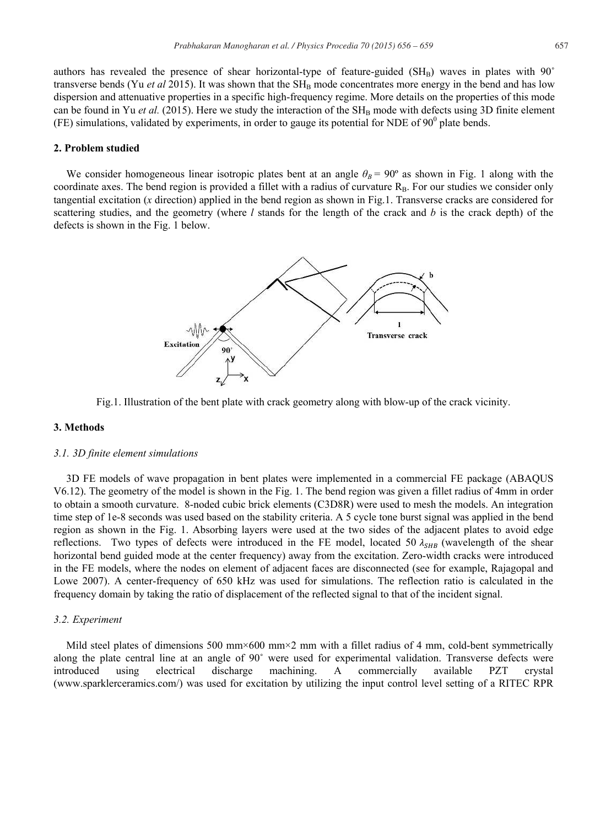authors has revealed the presence of shear horizontal-type of feature-guided ( $SH_B$ ) waves in plates with  $90^{\circ}$ transverse bends (Yu *et al* 2015). It was shown that the  $SH<sub>B</sub>$  mode concentrates more energy in the bend and has low dispersion and attenuative properties in a specific high-frequency regime. More details on the properties of this mode can be found in Yu *et al.* (2015). Here we study the interaction of the  $SH<sub>B</sub>$  mode with defects using 3D finite element (FE) simulations, validated by experiments, in order to gauge its potential for NDE of  $90^0$  plate bends.

# **2. Problem studied**

We consider homogeneous linear isotropic plates bent at an angle  $\theta_B = 90^\circ$  as shown in Fig. 1 along with the coordinate axes. The bend region is provided a fillet with a radius of curvature  $R_B$ . For our studies we consider only tangential excitation (*x* direction) applied in the bend region as shown in Fig.1. Transverse cracks are considered for scattering studies, and the geometry (where *l* stands for the length of the crack and *b* is the crack depth) of the defects is shown in the Fig. 1 below.



Fig.1. Illustration of the bent plate with crack geometry along with blow-up of the crack vicinity.

# **3. Methods**

#### *3.1. 3D finite element simulations*

3D FE models of wave propagation in bent plates were implemented in a commercial FE package (ABAQUS V6.12). The geometry of the model is shown in the Fig. 1. The bend region was given a fillet radius of 4mm in order to obtain a smooth curvature. 8-noded cubic brick elements (C3D8R) were used to mesh the models. An integration time step of 1e-8 seconds was used based on the stability criteria. A 5 cycle tone burst signal was applied in the bend region as shown in the Fig. 1. Absorbing layers were used at the two sides of the adjacent plates to avoid edge reflections. Two types of defects were introduced in the FE model, located 50  $\lambda_{SHB}$  (wavelength of the shear horizontal bend guided mode at the center frequency) away from the excitation. Zero-width cracks were introduced in the FE models, where the nodes on element of adjacent faces are disconnected (see for example, Rajagopal and Lowe 2007). A center-frequency of 650 kHz was used for simulations. The reflection ratio is calculated in the frequency domain by taking the ratio of displacement of the reflected signal to that of the incident signal.

# *3.2. Experiment*

Mild steel plates of dimensions 500 mm×600 mm×2 mm with a fillet radius of 4 mm, cold-bent symmetrically along the plate central line at an angle of 90° were used for experimental validation. Transverse defects were introduced using electrical discharge machining. A commercially available PZT crystal (www.sparklerceramics.com/) was used for excitation by utilizing the input control level setting of a RITEC RPR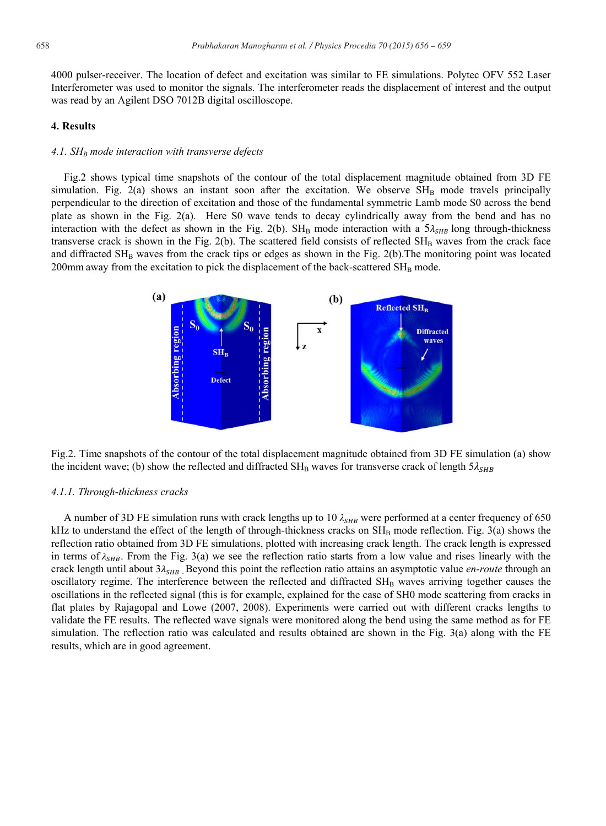4000 pulser-receiver. The location of defect and excitation was similar to FE simulations. Polytec OFV 552 Laser Interferometer was used to monitor the signals. The interferometer reads the displacement of interest and the output was read by an Agilent DSO 7012B digital oscilloscope.

#### **4. Results**

# *4.1. SHB mode interaction with transverse defects*

Fig.2 shows typical time snapshots of the contour of the total displacement magnitude obtained from 3D FE simulation. Fig. 2(a) shows an instant soon after the excitation. We observe  $SH<sub>B</sub>$  mode travels principally perpendicular to the direction of excitation and those of the fundamental symmetric Lamb mode S0 across the bend plate as shown in the Fig. 2(a). Here S0 wave tends to decay cylindrically away from the bend and has no interaction with the defect as shown in the Fig. 2(b). SH<sub>B</sub> mode interaction with a  $5\lambda_{SHB}$  long through-thickness transverse crack is shown in the Fig. 2(b). The scattered field consists of reflected  $SH_B$  waves from the crack face and diffracted  $SH_B$  waves from the crack tips or edges as shown in the Fig. 2(b). The monitoring point was located  $200$ mm away from the excitation to pick the displacement of the back-scattered  $SH<sub>B</sub>$  mode.



Fig.2. Time snapshots of the contour of the total displacement magnitude obtained from 3D FE simulation (a) show the incident wave; (b) show the reflected and diffracted SH<sub>B</sub> waves for transverse crack of length  $5\lambda_{SHB}$ 

#### *4.1.1. Through-thickness cracks*

A number of 3D FE simulation runs with crack lengths up to 10  $\lambda_{SHB}$  were performed at a center frequency of 650 kHz to understand the effect of the length of through-thickness cracks on  $SH_B$  mode reflection. Fig. 3(a) shows the reflection ratio obtained from 3D FE simulations, plotted with increasing crack length. The crack length is expressed in terms of  $\lambda_{SHB}$ . From the Fig. 3(a) we see the reflection ratio starts from a low value and rises linearly with the crack length until about  $3\lambda_{SHB}$ . Beyond this point the reflection ratio attains an asymptotic value *en-route* through an oscillatory regime. The interference between the reflected and diffracted SH<sub>B</sub> waves arriving together causes the oscillations in the reflected signal (this is for example, explained for the case of SH0 mode scattering from cracks in flat plates by Rajagopal and Lowe (2007, 2008). Experiments were carried out with different cracks lengths to validate the FE results. The reflected wave signals were monitored along the bend using the same method as for FE simulation. The reflection ratio was calculated and results obtained are shown in the Fig. 3(a) along with the FE results, which are in good agreement.